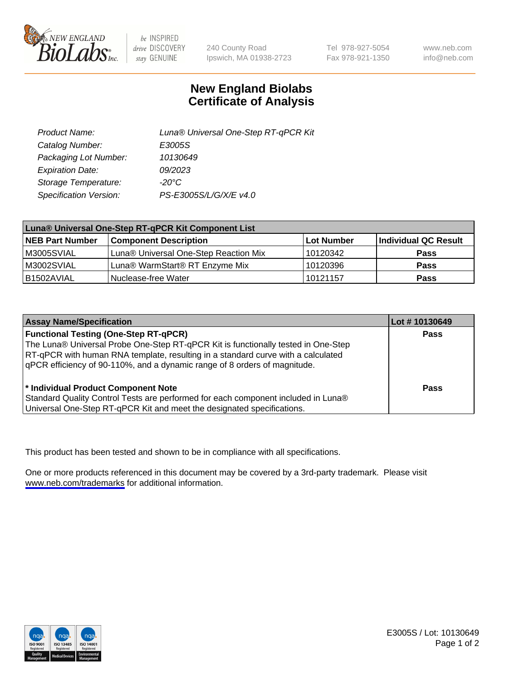

be INSPIRED drive DISCOVERY stay GENUINE

240 County Road Ipswich, MA 01938-2723 Tel 978-927-5054 Fax 978-921-1350

www.neb.com info@neb.com

## **New England Biolabs Certificate of Analysis**

| Product Name:           | Luna® Universal One-Step RT-qPCR Kit |
|-------------------------|--------------------------------------|
| Catalog Number:         | E3005S                               |
| Packaging Lot Number:   | 10130649                             |
| <b>Expiration Date:</b> | 09/2023                              |
| Storage Temperature:    | $-20^{\circ}$ C                      |
| Specification Version:  | PS-E3005S/L/G/X/E v4.0               |

| Luna® Universal One-Step RT-qPCR Kit Component List |                                       |            |                      |  |
|-----------------------------------------------------|---------------------------------------|------------|----------------------|--|
| <b>NEB Part Number</b>                              | <b>Component Description</b>          | Lot Number | Individual QC Result |  |
| M3005SVIAL                                          | Luna® Universal One-Step Reaction Mix | 10120342   | Pass                 |  |
| M3002SVIAL                                          | Luna® WarmStart® RT Enzyme Mix        | 10120396   | <b>Pass</b>          |  |
| B1502AVIAL                                          | Nuclease-free Water                   | 10121157   | <b>Pass</b>          |  |

| <b>Assay Name/Specification</b>                                                   | Lot # 10130649 |
|-----------------------------------------------------------------------------------|----------------|
| <b>Functional Testing (One-Step RT-qPCR)</b>                                      | <b>Pass</b>    |
| The Luna® Universal Probe One-Step RT-qPCR Kit is functionally tested in One-Step |                |
| RT-qPCR with human RNA template, resulting in a standard curve with a calculated  |                |
| qPCR efficiency of 90-110%, and a dynamic range of 8 orders of magnitude.         |                |
|                                                                                   |                |
| <sup>*</sup> Individual Product Component Note                                    | Pass           |
| Standard Quality Control Tests are performed for each component included in Luna® |                |
| Universal One-Step RT-qPCR Kit and meet the designated specifications.            |                |

This product has been tested and shown to be in compliance with all specifications.

One or more products referenced in this document may be covered by a 3rd-party trademark. Please visit <www.neb.com/trademarks>for additional information.